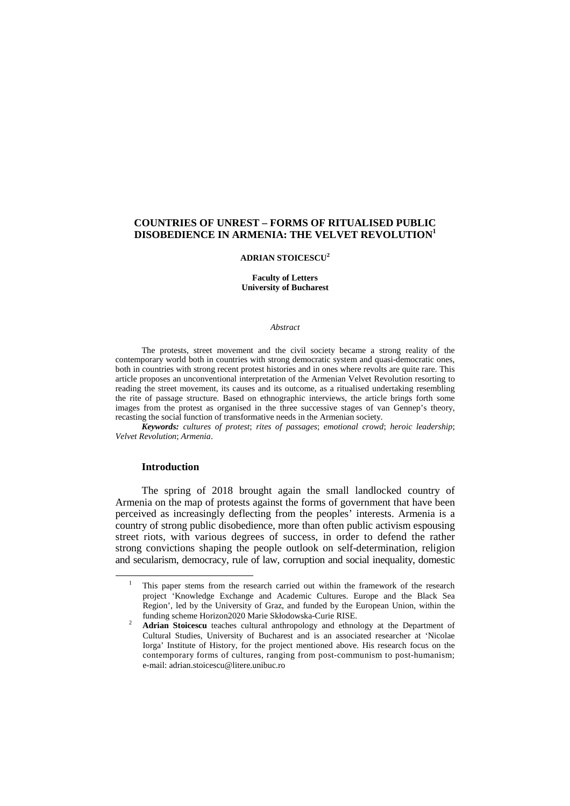# **ADRIAN STOICESCU<sup>2</sup>**

**Faculty of Letters University of Bucharest** 

#### *Abstract*

The protests, street movement and the civil society became a strong reality of the contemporary world both in countries with strong democratic system and quasi-democratic ones, both in countries with strong recent protest histories and in ones where revolts are quite rare. This article proposes an unconventional interpretation of the Armenian Velvet Revolution resorting to reading the street movement, its causes and its outcome, as a ritualised undertaking resembling the rite of passage structure. Based on ethnographic interviews, the article brings forth some images from the protest as organised in the three successive stages of van Gennep's theory, recasting the social function of transformative needs in the Armenian society.

*Keywords: cultures of protest*; *rites of passages*; *emotional crowd*; *heroic leadership*; *Velvet Revolution*; *Armenia*.

#### **Introduction**

l

The spring of 2018 brought again the small landlocked country of Armenia on the map of protests against the forms of government that have been perceived as increasingly deflecting from the peoples' interests. Armenia is a country of strong public disobedience, more than often public activism espousing street riots, with various degrees of success, in order to defend the rather strong convictions shaping the people outlook on self-determination, religion and secularism, democracy, rule of law, corruption and social inequality, domestic

<sup>1</sup> This paper stems from the research carried out within the framework of the research project 'Knowledge Exchange and Academic Cultures. Europe and the Black Sea Region', led by the University of Graz, and funded by the European Union, within the funding scheme Horizon2020 Marie Skłodowska-Curie RISE.

 $\overline{2}$  **Adrian Stoicescu** teaches cultural anthropology and ethnology at the Department of Cultural Studies, University of Bucharest and is an associated researcher at 'Nicolae Iorga' Institute of History, for the project mentioned above. His research focus on the contemporary forms of cultures, ranging from post-communism to post-humanism; e-mail: adrian.stoicescu@litere.unibuc.ro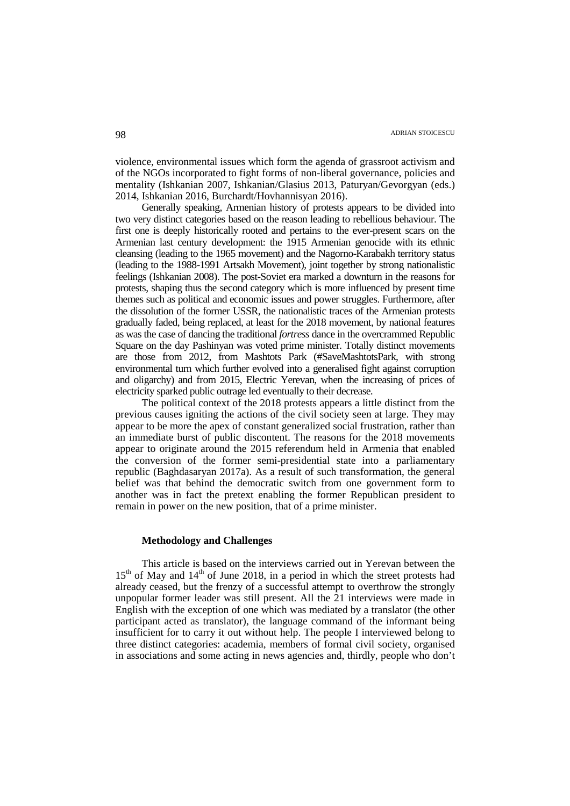violence, environmental issues which form the agenda of grassroot activism and of the NGOs incorporated to fight forms of non-liberal governance, policies and mentality (Ishkanian 2007, Ishkanian/Glasius 2013, Paturyan/Gevorgyan (eds.) 2014, Ishkanian 2016, Burchardt/Hovhannisyan 2016).

Generally speaking, Armenian history of protests appears to be divided into two very distinct categories based on the reason leading to rebellious behaviour. The first one is deeply historically rooted and pertains to the ever-present scars on the Armenian last century development: the 1915 Armenian genocide with its ethnic cleansing (leading to the 1965 movement) and the Nagorno-Karabakh territory status (leading to the 1988-1991 Artsakh Movement), joint together by strong nationalistic feelings (Ishkanian 2008). The post-Soviet era marked a downturn in the reasons for protests, shaping thus the second category which is more influenced by present time themes such as political and economic issues and power struggles. Furthermore, after the dissolution of the former USSR, the nationalistic traces of the Armenian protests gradually faded, being replaced, at least for the 2018 movement, by national features as was the case of dancing the traditional *fortress* dance in the overcrammed Republic Square on the day Pashinyan was voted prime minister. Totally distinct movements are those from 2012, from Mashtots Park (#SaveMashtotsPark, with strong environmental turn which further evolved into a generalised fight against corruption and oligarchy) and from 2015, Electric Yerevan, when the increasing of prices of electricity sparked public outrage led eventually to their decrease.

The political context of the 2018 protests appears a little distinct from the previous causes igniting the actions of the civil society seen at large. They may appear to be more the apex of constant generalized social frustration, rather than an immediate burst of public discontent. The reasons for the 2018 movements appear to originate around the 2015 referendum held in Armenia that enabled the conversion of the former semi-presidential state into a parliamentary republic (Baghdasaryan 2017a). As a result of such transformation, the general belief was that behind the democratic switch from one government form to another was in fact the pretext enabling the former Republican president to remain in power on the new position, that of a prime minister.

## **Methodology and Challenges**

This article is based on the interviews carried out in Yerevan between the  $15<sup>th</sup>$  of May and  $14<sup>th</sup>$  of June 2018, in a period in which the street protests had already ceased, but the frenzy of a successful attempt to overthrow the strongly unpopular former leader was still present. All the 21 interviews were made in English with the exception of one which was mediated by a translator (the other participant acted as translator), the language command of the informant being insufficient for to carry it out without help. The people I interviewed belong to three distinct categories: academia, members of formal civil society, organised in associations and some acting in news agencies and, thirdly, people who don't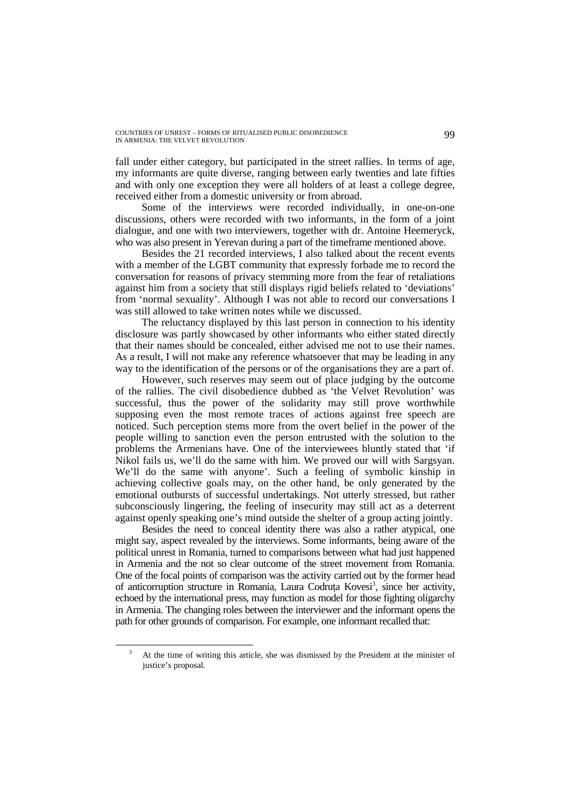fall under either category, but participated in the street rallies. In terms of age, my informants are quite diverse, ranging between early twenties and late fifties and with only one exception they were all holders of at least a college degree, received either from a domestic university or from abroad.

Some of the interviews were recorded individually, in one-on-one discussions, others were recorded with two informants, in the form of a joint dialogue, and one with two interviewers, together with dr. Antoine Heemeryck, who was also present in Yerevan during a part of the timeframe mentioned above.

Besides the 21 recorded interviews, I also talked about the recent events with a member of the LGBT community that expressly forbade me to record the conversation for reasons of privacy stemming more from the fear of retaliations against him from a society that still displays rigid beliefs related to 'deviations' from 'normal sexuality'. Although I was not able to record our conversations I was still allowed to take written notes while we discussed.

The reluctancy displayed by this last person in connection to his identity disclosure was partly showcased by other informants who either stated directly that their names should be concealed, either advised me not to use their names. As a result, I will not make any reference whatsoever that may be leading in any way to the identification of the persons or of the organisations they are a part of.

However, such reserves may seem out of place judging by the outcome of the rallies. The civil disobedience dubbed as 'the Velvet Revolution' was successful, thus the power of the solidarity may still prove worthwhile supposing even the most remote traces of actions against free speech are noticed. Such perception stems more from the overt belief in the power of the people willing to sanction even the person entrusted with the solution to the problems the Armenians have. One of the interviewees bluntly stated that 'if Nikol fails us, we'll do the same with him. We proved our will with Sargsyan. We'll do the same with anyone'. Such a feeling of symbolic kinship in achieving collective goals may, on the other hand, be only generated by the emotional outbursts of successful undertakings. Not utterly stressed, but rather subconsciously lingering, the feeling of insecurity may still act as a deterrent against openly speaking one's mind outside the shelter of a group acting jointly.

Besides the need to conceal identity there was also a rather atypical, one might say, aspect revealed by the interviews. Some informants, being aware of the political unrest in Romania, turned to comparisons between what had just happened in Armenia and the not so clear outcome of the street movement from Romania. One of the focal points of comparison was the activity carried out by the former head of anticorruption structure in Romania, Laura Codruța Kovesi<sup>3</sup>, since her activity, echoed by the international press, may function as model for those fighting oligarchy in Armenia. The changing roles between the interviewer and the informant opens the path for other grounds of comparison. For example, one informant recalled that:

<sup>3</sup> At the time of writing this article, she was dismissed by the President at the minister of justice's proposal.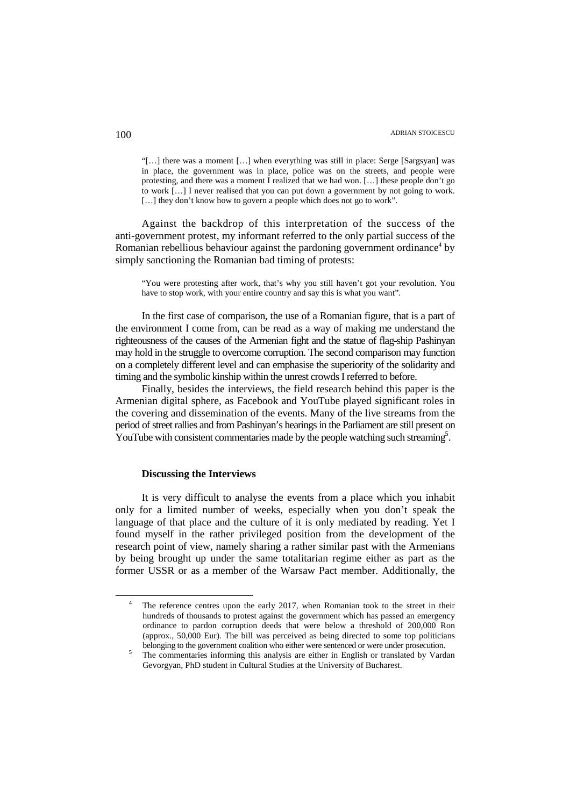"[…] there was a moment […] when everything was still in place: Serge [Sargsyan] was in place, the government was in place, police was on the streets, and people were protesting, and there was a moment I realized that we had won. […] these people don't go to work […] I never realised that you can put down a government by not going to work. [...] they don't know how to govern a people which does not go to work".

Against the backdrop of this interpretation of the success of the anti-government protest, my informant referred to the only partial success of the Romanian rebellious behaviour against the pardoning government ordinance<sup>4</sup> by simply sanctioning the Romanian bad timing of protests:

"You were protesting after work, that's why you still haven't got your revolution. You have to stop work, with your entire country and say this is what you want".

In the first case of comparison, the use of a Romanian figure, that is a part of the environment I come from, can be read as a way of making me understand the righteousness of the causes of the Armenian fight and the statue of flag-ship Pashinyan may hold in the struggle to overcome corruption. The second comparison may function on a completely different level and can emphasise the superiority of the solidarity and timing and the symbolic kinship within the unrest crowds I referred to before.

Finally, besides the interviews, the field research behind this paper is the Armenian digital sphere, as Facebook and YouTube played significant roles in the covering and dissemination of the events. Many of the live streams from the period of street rallies and from Pashinyan's hearings in the Parliament are still present on YouTube with consistent commentaries made by the people watching such streaming<sup>5</sup>.

## **Discussing the Interviews**

It is very difficult to analyse the events from a place which you inhabit only for a limited number of weeks, especially when you don't speak the language of that place and the culture of it is only mediated by reading. Yet I found myself in the rather privileged position from the development of the research point of view, namely sharing a rather similar past with the Armenians by being brought up under the same totalitarian regime either as part as the former USSR or as a member of the Warsaw Pact member. Additionally, the

<sup>4</sup> The reference centres upon the early 2017, when Romanian took to the street in their hundreds of thousands to protest against the government which has passed an emergency ordinance to pardon corruption deeds that were below a threshold of 200,000 Ron (approx., 50,000 Eur). The bill was perceived as being directed to some top politicians belonging to the government coalition who either were sentenced or were under prosecution.

<sup>5</sup> The commentaries informing this analysis are either in English or translated by Vardan Gevorgyan, PhD student in Cultural Studies at the University of Bucharest.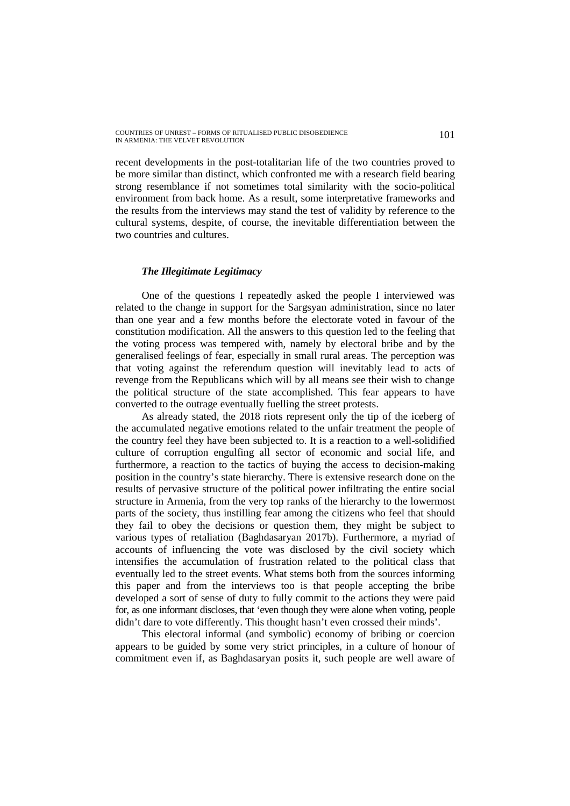recent developments in the post-totalitarian life of the two countries proved to be more similar than distinct, which confronted me with a research field bearing strong resemblance if not sometimes total similarity with the socio-political environment from back home. As a result, some interpretative frameworks and the results from the interviews may stand the test of validity by reference to the cultural systems, despite, of course, the inevitable differentiation between the two countries and cultures.

# *The Illegitimate Legitimacy*

One of the questions I repeatedly asked the people I interviewed was related to the change in support for the Sargsyan administration, since no later than one year and a few months before the electorate voted in favour of the constitution modification. All the answers to this question led to the feeling that the voting process was tempered with, namely by electoral bribe and by the generalised feelings of fear, especially in small rural areas. The perception was that voting against the referendum question will inevitably lead to acts of revenge from the Republicans which will by all means see their wish to change the political structure of the state accomplished. This fear appears to have converted to the outrage eventually fuelling the street protests.

As already stated, the 2018 riots represent only the tip of the iceberg of the accumulated negative emotions related to the unfair treatment the people of the country feel they have been subjected to. It is a reaction to a well-solidified culture of corruption engulfing all sector of economic and social life, and furthermore, a reaction to the tactics of buying the access to decision-making position in the country's state hierarchy. There is extensive research done on the results of pervasive structure of the political power infiltrating the entire social structure in Armenia, from the very top ranks of the hierarchy to the lowermost parts of the society, thus instilling fear among the citizens who feel that should they fail to obey the decisions or question them, they might be subject to various types of retaliation (Baghdasaryan 2017b). Furthermore, a myriad of accounts of influencing the vote was disclosed by the civil society which intensifies the accumulation of frustration related to the political class that eventually led to the street events. What stems both from the sources informing this paper and from the interviews too is that people accepting the bribe developed a sort of sense of duty to fully commit to the actions they were paid for, as one informant discloses, that 'even though they were alone when voting, people didn't dare to vote differently. This thought hasn't even crossed their minds'.

This electoral informal (and symbolic) economy of bribing or coercion appears to be guided by some very strict principles, in a culture of honour of commitment even if, as Baghdasaryan posits it, such people are well aware of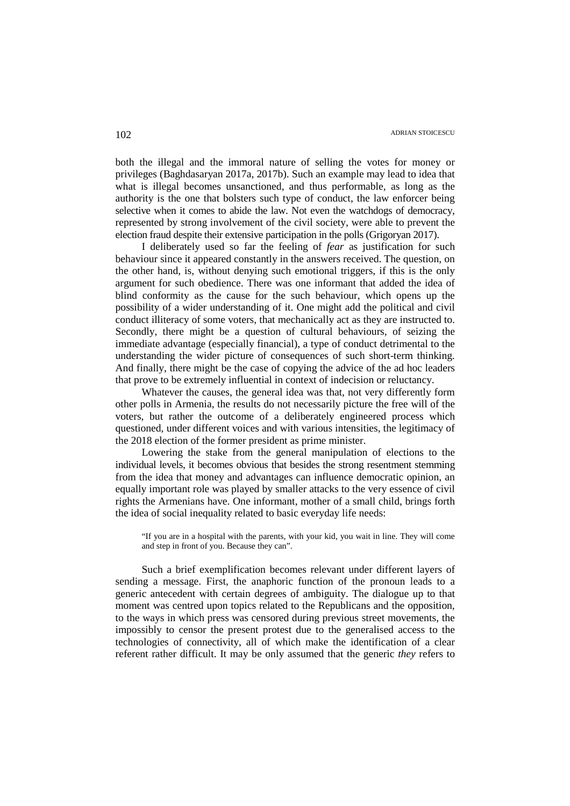both the illegal and the immoral nature of selling the votes for money or privileges (Baghdasaryan 2017a, 2017b). Such an example may lead to idea that what is illegal becomes unsanctioned, and thus performable, as long as the authority is the one that bolsters such type of conduct, the law enforcer being selective when it comes to abide the law. Not even the watchdogs of democracy, represented by strong involvement of the civil society, were able to prevent the election fraud despite their extensive participation in the polls (Grigoryan 2017).

I deliberately used so far the feeling of *fear* as justification for such behaviour since it appeared constantly in the answers received. The question, on the other hand, is, without denying such emotional triggers, if this is the only argument for such obedience. There was one informant that added the idea of blind conformity as the cause for the such behaviour, which opens up the possibility of a wider understanding of it. One might add the political and civil conduct illiteracy of some voters, that mechanically act as they are instructed to. Secondly, there might be a question of cultural behaviours, of seizing the immediate advantage (especially financial), a type of conduct detrimental to the understanding the wider picture of consequences of such short-term thinking. And finally, there might be the case of copying the advice of the ad hoc leaders that prove to be extremely influential in context of indecision or reluctancy.

Whatever the causes, the general idea was that, not very differently form other polls in Armenia, the results do not necessarily picture the free will of the voters, but rather the outcome of a deliberately engineered process which questioned, under different voices and with various intensities, the legitimacy of the 2018 election of the former president as prime minister.

Lowering the stake from the general manipulation of elections to the individual levels, it becomes obvious that besides the strong resentment stemming from the idea that money and advantages can influence democratic opinion, an equally important role was played by smaller attacks to the very essence of civil rights the Armenians have. One informant, mother of a small child, brings forth the idea of social inequality related to basic everyday life needs:

"If you are in a hospital with the parents, with your kid, you wait in line. They will come and step in front of you. Because they can".

Such a brief exemplification becomes relevant under different layers of sending a message. First, the anaphoric function of the pronoun leads to a generic antecedent with certain degrees of ambiguity. The dialogue up to that moment was centred upon topics related to the Republicans and the opposition, to the ways in which press was censored during previous street movements, the impossibly to censor the present protest due to the generalised access to the technologies of connectivity, all of which make the identification of a clear referent rather difficult. It may be only assumed that the generic *they* refers to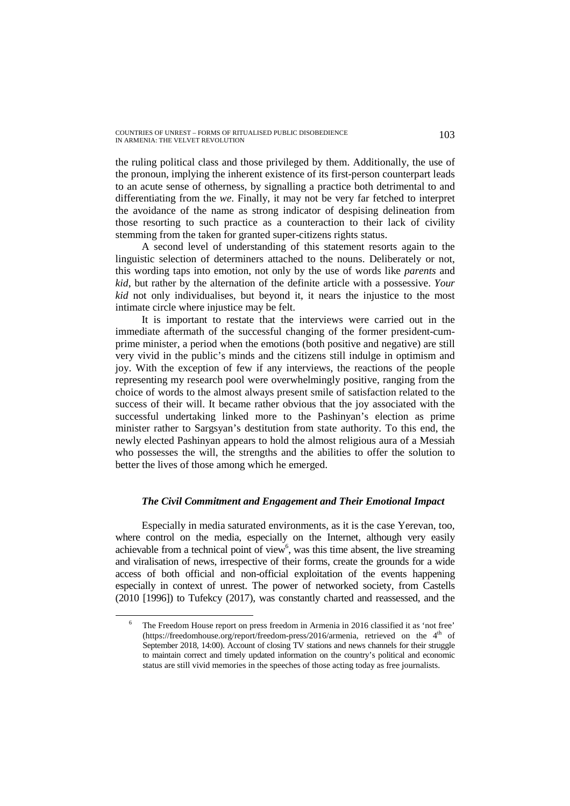the ruling political class and those privileged by them. Additionally, the use of the pronoun, implying the inherent existence of its first-person counterpart leads to an acute sense of otherness, by signalling a practice both detrimental to and differentiating from the *we*. Finally, it may not be very far fetched to interpret the avoidance of the name as strong indicator of despising delineation from those resorting to such practice as a counteraction to their lack of civility stemming from the taken for granted super-citizens rights status.

A second level of understanding of this statement resorts again to the linguistic selection of determiners attached to the nouns. Deliberately or not, this wording taps into emotion, not only by the use of words like *parents* and *kid*, but rather by the alternation of the definite article with a possessive. *Your kid* not only individualises, but beyond it, it nears the injustice to the most intimate circle where injustice may be felt.

It is important to restate that the interviews were carried out in the immediate aftermath of the successful changing of the former president-cumprime minister, a period when the emotions (both positive and negative) are still very vivid in the public's minds and the citizens still indulge in optimism and joy. With the exception of few if any interviews, the reactions of the people representing my research pool were overwhelmingly positive, ranging from the choice of words to the almost always present smile of satisfaction related to the success of their will. It became rather obvious that the joy associated with the successful undertaking linked more to the Pashinyan's election as prime minister rather to Sargsyan's destitution from state authority. To this end, the newly elected Pashinyan appears to hold the almost religious aura of a Messiah who possesses the will, the strengths and the abilities to offer the solution to better the lives of those among which he emerged.

# *The Civil Commitment and Engagement and Their Emotional Impact*

Especially in media saturated environments, as it is the case Yerevan, too, where control on the media, especially on the Internet, although very easily achievable from a technical point of view<sup>6</sup>, was this time absent, the live streaming and viralisation of news, irrespective of their forms, create the grounds for a wide access of both official and non-official exploitation of the events happening especially in context of unrest. The power of networked society, from Castells (2010 [1996]) to Tufekcy (2017), was constantly charted and reassessed, and the

<sup>6</sup> The Freedom House report on press freedom in Armenia in 2016 classified it as 'not free' (https://freedomhouse.org/report/freedom-press/2016/armenia, retrieved on the 4th of September 2018, 14:00). Account of closing TV stations and news channels for their struggle to maintain correct and timely updated information on the country's political and economic status are still vivid memories in the speeches of those acting today as free journalists.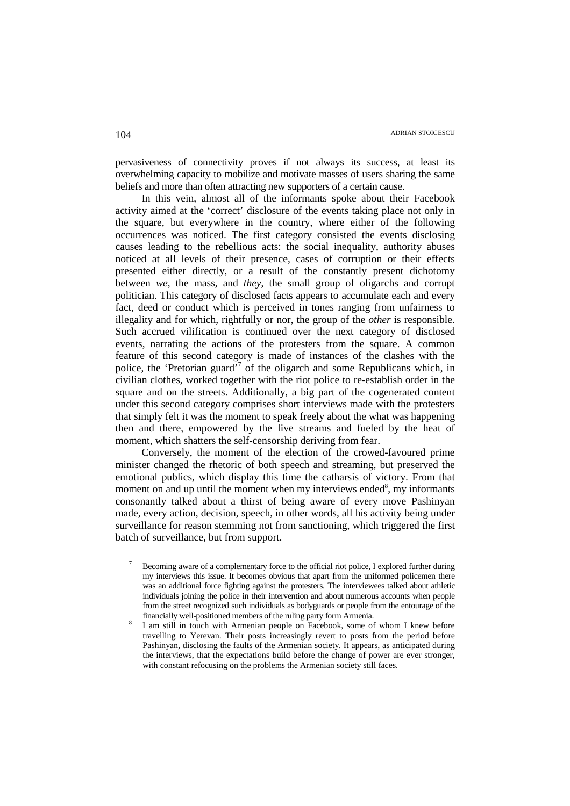pervasiveness of connectivity proves if not always its success, at least its overwhelming capacity to mobilize and motivate masses of users sharing the same beliefs and more than often attracting new supporters of a certain cause.

In this vein, almost all of the informants spoke about their Facebook activity aimed at the 'correct' disclosure of the events taking place not only in the square, but everywhere in the country, where either of the following occurrences was noticed. The first category consisted the events disclosing causes leading to the rebellious acts: the social inequality, authority abuses noticed at all levels of their presence, cases of corruption or their effects presented either directly, or a result of the constantly present dichotomy between *we*, the mass, and *they*, the small group of oligarchs and corrupt politician. This category of disclosed facts appears to accumulate each and every fact, deed or conduct which is perceived in tones ranging from unfairness to illegality and for which, rightfully or nor, the group of the *other* is responsible. Such accrued vilification is continued over the next category of disclosed events, narrating the actions of the protesters from the square. A common feature of this second category is made of instances of the clashes with the police, the 'Pretorian guard'<sup>7</sup> of the oligarch and some Republicans which, in civilian clothes, worked together with the riot police to re-establish order in the square and on the streets. Additionally, a big part of the cogenerated content under this second category comprises short interviews made with the protesters that simply felt it was the moment to speak freely about the what was happening then and there, empowered by the live streams and fueled by the heat of moment, which shatters the self-censorship deriving from fear.

Conversely, the moment of the election of the crowed-favoured prime minister changed the rhetoric of both speech and streaming, but preserved the emotional publics, which display this time the catharsis of victory. From that moment on and up until the moment when my interviews ended<sup>8</sup>, my informants consonantly talked about a thirst of being aware of every move Pashinyan made, every action, decision, speech, in other words, all his activity being under surveillance for reason stemming not from sanctioning, which triggered the first batch of surveillance, but from support.

 $\overline{a}$ 

<sup>7</sup> Becoming aware of a complementary force to the official riot police, I explored further during my interviews this issue. It becomes obvious that apart from the uniformed policemen there was an additional force fighting against the protesters. The interviewees talked about athletic individuals joining the police in their intervention and about numerous accounts when people from the street recognized such individuals as bodyguards or people from the entourage of the financially well-positioned members of the ruling party form Armenia.

<sup>8</sup> I am still in touch with Armenian people on Facebook, some of whom I knew before travelling to Yerevan. Their posts increasingly revert to posts from the period before Pashinyan, disclosing the faults of the Armenian society. It appears, as anticipated during the interviews, that the expectations build before the change of power are ever stronger, with constant refocusing on the problems the Armenian society still faces.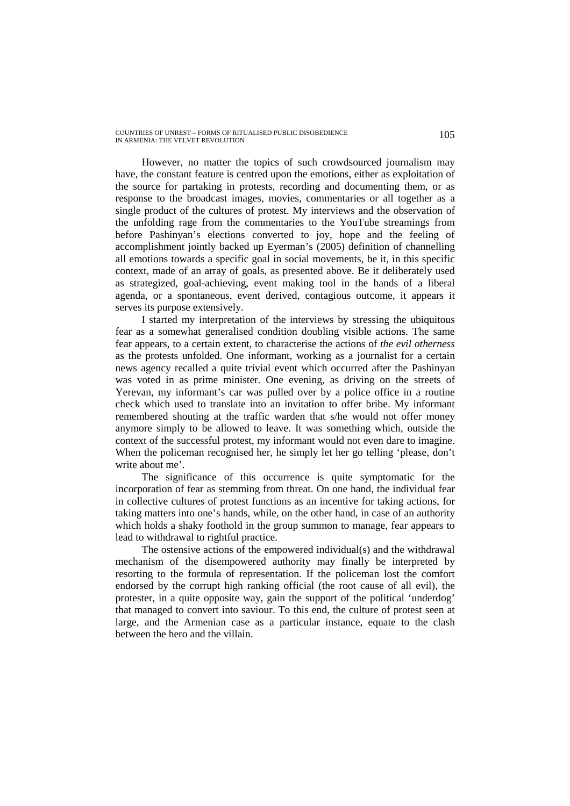However, no matter the topics of such crowdsourced journalism may have, the constant feature is centred upon the emotions, either as exploitation of the source for partaking in protests, recording and documenting them, or as response to the broadcast images, movies, commentaries or all together as a single product of the cultures of protest. My interviews and the observation of the unfolding rage from the commentaries to the YouTube streamings from before Pashinyan's elections converted to joy, hope and the feeling of accomplishment jointly backed up Eyerman's (2005) definition of channelling all emotions towards a specific goal in social movements, be it, in this specific context, made of an array of goals, as presented above. Be it deliberately used as strategized, goal-achieving, event making tool in the hands of a liberal agenda, or a spontaneous, event derived, contagious outcome, it appears it serves its purpose extensively.

I started my interpretation of the interviews by stressing the ubiquitous fear as a somewhat generalised condition doubling visible actions. The same fear appears, to a certain extent, to characterise the actions of *the evil otherness* as the protests unfolded. One informant, working as a journalist for a certain news agency recalled a quite trivial event which occurred after the Pashinyan was voted in as prime minister. One evening, as driving on the streets of Yerevan, my informant's car was pulled over by a police office in a routine check which used to translate into an invitation to offer bribe. My informant remembered shouting at the traffic warden that s/he would not offer money anymore simply to be allowed to leave. It was something which, outside the context of the successful protest, my informant would not even dare to imagine. When the policeman recognised her, he simply let her go telling 'please, don't write about me'.

The significance of this occurrence is quite symptomatic for the incorporation of fear as stemming from threat. On one hand, the individual fear in collective cultures of protest functions as an incentive for taking actions, for taking matters into one's hands, while, on the other hand, in case of an authority which holds a shaky foothold in the group summon to manage, fear appears to lead to withdrawal to rightful practice.

The ostensive actions of the empowered individual(s) and the withdrawal mechanism of the disempowered authority may finally be interpreted by resorting to the formula of representation. If the policeman lost the comfort endorsed by the corrupt high ranking official (the root cause of all evil), the protester, in a quite opposite way, gain the support of the political 'underdog' that managed to convert into saviour. To this end, the culture of protest seen at large, and the Armenian case as a particular instance, equate to the clash between the hero and the villain.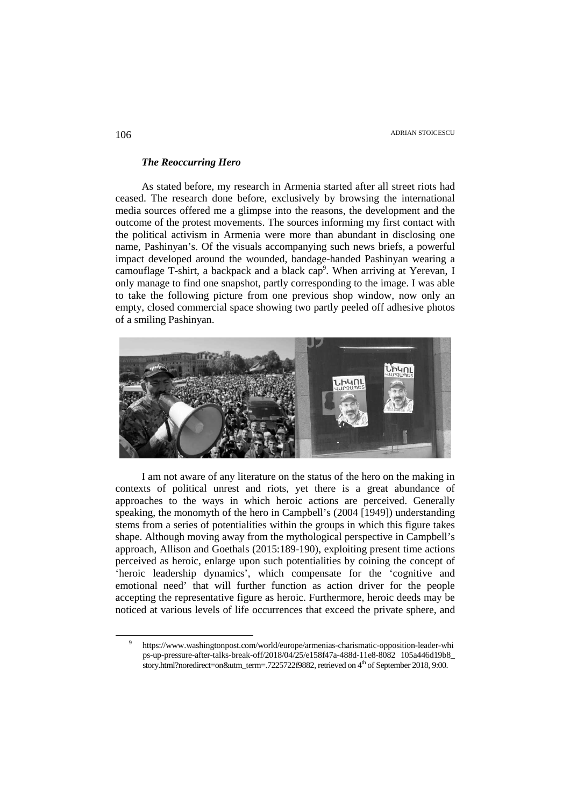#### *The Reoccurring Hero*

As stated before, my research in Armenia started after all street riots had ceased. The research done before, exclusively by browsing the international media sources offered me a glimpse into the reasons, the development and the outcome of the protest movements. The sources informing my first contact with the political activism in Armenia were more than abundant in disclosing one name, Pashinyan's. Of the visuals accompanying such news briefs, a powerful impact developed around the wounded, bandage-handed Pashinyan wearing a camouflage T-shirt, a backpack and a black cap<sup>9</sup>. When arriving at Yerevan, I only manage to find one snapshot, partly corresponding to the image. I was able to take the following picture from one previous shop window, now only an empty, closed commercial space showing two partly peeled off adhesive photos of a smiling Pashinyan.



I am not aware of any literature on the status of the hero on the making in contexts of political unrest and riots, yet there is a great abundance of approaches to the ways in which heroic actions are perceived. Generally speaking, the monomyth of the hero in Campbell's (2004 [1949]) understanding stems from a series of potentialities within the groups in which this figure takes shape. Although moving away from the mythological perspective in Campbell's approach, Allison and Goethals (2015:189-190), exploiting present time actions perceived as heroic, enlarge upon such potentialities by coining the concept of 'heroic leadership dynamics', which compensate for the 'cognitive and emotional need' that will further function as action driver for the people accepting the representative figure as heroic. Furthermore, heroic deeds may be noticed at various levels of life occurrences that exceed the private sphere, and

<sup>9</sup> https://www.washingtonpost.com/world/europe/armenias-charismatic-opposition-leader-whi ps-up-pressure-after-talks-break-off/2018/04/25/e158f47a-488d-11e8-8082 105a446d19b8\_ story.html?noredirect=on&utm\_term=.7225722f9882, retrieved on 4<sup>th</sup> of September 2018, 9:00.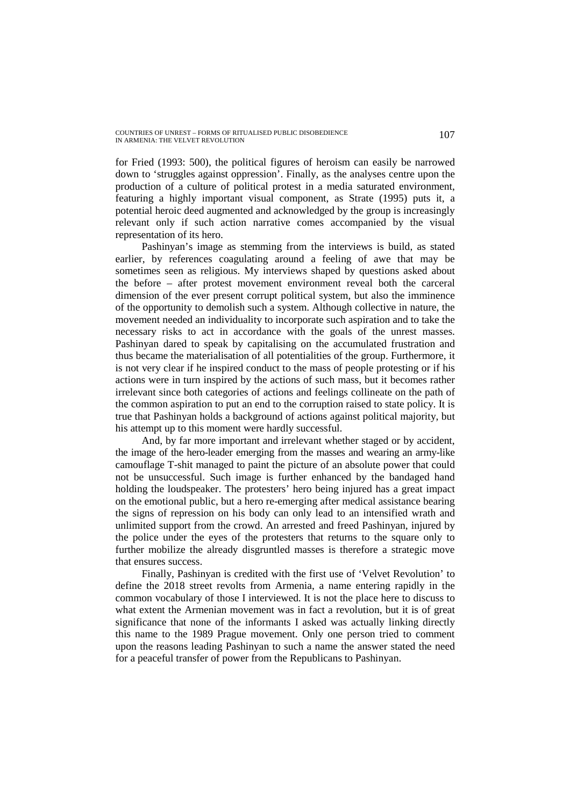for Fried (1993: 500), the political figures of heroism can easily be narrowed down to 'struggles against oppression'. Finally, as the analyses centre upon the production of a culture of political protest in a media saturated environment, featuring a highly important visual component, as Strate (1995) puts it, a potential heroic deed augmented and acknowledged by the group is increasingly relevant only if such action narrative comes accompanied by the visual representation of its hero.

Pashinyan's image as stemming from the interviews is build, as stated earlier, by references coagulating around a feeling of awe that may be sometimes seen as religious. My interviews shaped by questions asked about the before – after protest movement environment reveal both the carceral dimension of the ever present corrupt political system, but also the imminence of the opportunity to demolish such a system. Although collective in nature, the movement needed an individuality to incorporate such aspiration and to take the necessary risks to act in accordance with the goals of the unrest masses. Pashinyan dared to speak by capitalising on the accumulated frustration and thus became the materialisation of all potentialities of the group. Furthermore, it is not very clear if he inspired conduct to the mass of people protesting or if his actions were in turn inspired by the actions of such mass, but it becomes rather irrelevant since both categories of actions and feelings collineate on the path of the common aspiration to put an end to the corruption raised to state policy. It is true that Pashinyan holds a background of actions against political majority, but his attempt up to this moment were hardly successful.

And, by far more important and irrelevant whether staged or by accident, the image of the hero-leader emerging from the masses and wearing an army-like camouflage T-shit managed to paint the picture of an absolute power that could not be unsuccessful. Such image is further enhanced by the bandaged hand holding the loudspeaker. The protesters' hero being injured has a great impact on the emotional public, but a hero re-emerging after medical assistance bearing the signs of repression on his body can only lead to an intensified wrath and unlimited support from the crowd. An arrested and freed Pashinyan, injured by the police under the eyes of the protesters that returns to the square only to further mobilize the already disgruntled masses is therefore a strategic move that ensures success.

Finally, Pashinyan is credited with the first use of 'Velvet Revolution' to define the 2018 street revolts from Armenia, a name entering rapidly in the common vocabulary of those I interviewed. It is not the place here to discuss to what extent the Armenian movement was in fact a revolution, but it is of great significance that none of the informants I asked was actually linking directly this name to the 1989 Prague movement. Only one person tried to comment upon the reasons leading Pashinyan to such a name the answer stated the need for a peaceful transfer of power from the Republicans to Pashinyan.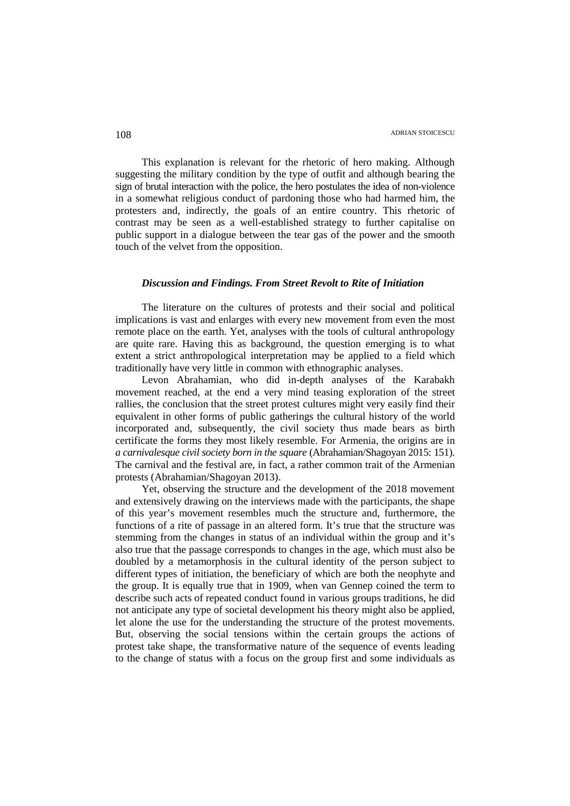This explanation is relevant for the rhetoric of hero making. Although suggesting the military condition by the type of outfit and although bearing the sign of brutal interaction with the police, the hero postulates the idea of non-violence in a somewhat religious conduct of pardoning those who had harmed him, the protesters and, indirectly, the goals of an entire country. This rhetoric of contrast may be seen as a well-established strategy to further capitalise on public support in a dialogue between the tear gas of the power and the smooth touch of the velvet from the opposition.

## *Discussion and Findings. From Street Revolt to Rite of Initiation*

The literature on the cultures of protests and their social and political implications is vast and enlarges with every new movement from even the most remote place on the earth. Yet, analyses with the tools of cultural anthropology are quite rare. Having this as background, the question emerging is to what extent a strict anthropological interpretation may be applied to a field which traditionally have very little in common with ethnographic analyses.

Levon Abrahamian, who did in-depth analyses of the Karabakh movement reached, at the end a very mind teasing exploration of the street rallies, the conclusion that the street protest cultures might very easily find their equivalent in other forms of public gatherings the cultural history of the world incorporated and, subsequently, the civil society thus made bears as birth certificate the forms they most likely resemble. For Armenia, the origins are in *a carnivalesque civil society born in the square* (Abrahamian/Shagoyan 2015: 151). The carnival and the festival are, in fact, a rather common trait of the Armenian protests (Abrahamian/Shagoyan 2013).

Yet, observing the structure and the development of the 2018 movement and extensively drawing on the interviews made with the participants, the shape of this year's movement resembles much the structure and, furthermore, the functions of a rite of passage in an altered form. It's true that the structure was stemming from the changes in status of an individual within the group and it's also true that the passage corresponds to changes in the age, which must also be doubled by a metamorphosis in the cultural identity of the person subject to different types of initiation, the beneficiary of which are both the neophyte and the group. It is equally true that in 1909, when van Gennep coined the term to describe such acts of repeated conduct found in various groups traditions, he did not anticipate any type of societal development his theory might also be applied, let alone the use for the understanding the structure of the protest movements. But, observing the social tensions within the certain groups the actions of protest take shape, the transformative nature of the sequence of events leading to the change of status with a focus on the group first and some individuals as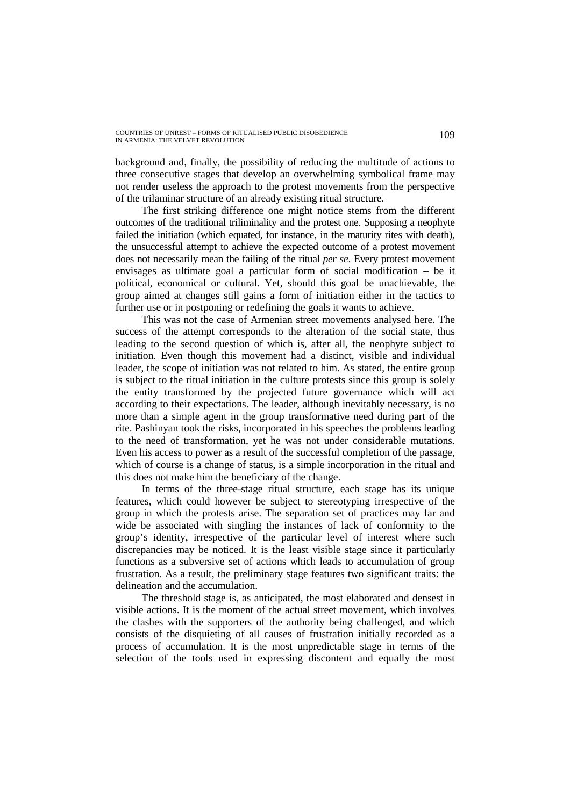background and, finally, the possibility of reducing the multitude of actions to three consecutive stages that develop an overwhelming symbolical frame may not render useless the approach to the protest movements from the perspective of the trilaminar structure of an already existing ritual structure.

The first striking difference one might notice stems from the different outcomes of the traditional triliminality and the protest one. Supposing a neophyte failed the initiation (which equated, for instance, in the maturity rites with death), the unsuccessful attempt to achieve the expected outcome of a protest movement does not necessarily mean the failing of the ritual *per se*. Every protest movement envisages as ultimate goal a particular form of social modification – be it political, economical or cultural. Yet, should this goal be unachievable, the group aimed at changes still gains a form of initiation either in the tactics to further use or in postponing or redefining the goals it wants to achieve.

This was not the case of Armenian street movements analysed here. The success of the attempt corresponds to the alteration of the social state, thus leading to the second question of which is, after all, the neophyte subject to initiation. Even though this movement had a distinct, visible and individual leader, the scope of initiation was not related to him. As stated, the entire group is subject to the ritual initiation in the culture protests since this group is solely the entity transformed by the projected future governance which will act according to their expectations. The leader, although inevitably necessary, is no more than a simple agent in the group transformative need during part of the rite. Pashinyan took the risks, incorporated in his speeches the problems leading to the need of transformation, yet he was not under considerable mutations. Even his access to power as a result of the successful completion of the passage, which of course is a change of status, is a simple incorporation in the ritual and this does not make him the beneficiary of the change.

In terms of the three-stage ritual structure, each stage has its unique features, which could however be subject to stereotyping irrespective of the group in which the protests arise. The separation set of practices may far and wide be associated with singling the instances of lack of conformity to the group's identity, irrespective of the particular level of interest where such discrepancies may be noticed. It is the least visible stage since it particularly functions as a subversive set of actions which leads to accumulation of group frustration. As a result, the preliminary stage features two significant traits: the delineation and the accumulation.

The threshold stage is, as anticipated, the most elaborated and densest in visible actions. It is the moment of the actual street movement, which involves the clashes with the supporters of the authority being challenged, and which consists of the disquieting of all causes of frustration initially recorded as a process of accumulation. It is the most unpredictable stage in terms of the selection of the tools used in expressing discontent and equally the most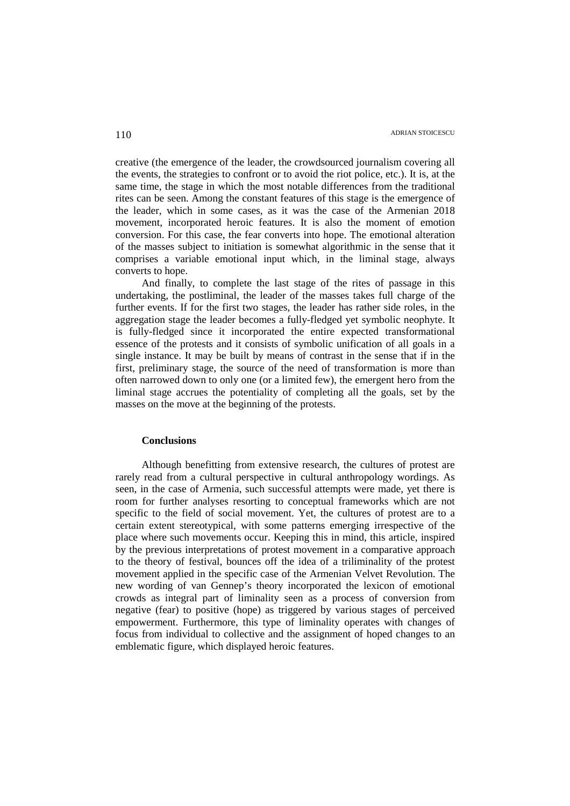creative (the emergence of the leader, the crowdsourced journalism covering all the events, the strategies to confront or to avoid the riot police, etc.). It is, at the same time, the stage in which the most notable differences from the traditional rites can be seen. Among the constant features of this stage is the emergence of the leader, which in some cases, as it was the case of the Armenian 2018 movement, incorporated heroic features. It is also the moment of emotion conversion. For this case, the fear converts into hope. The emotional alteration of the masses subject to initiation is somewhat algorithmic in the sense that it comprises a variable emotional input which, in the liminal stage, always converts to hope.

And finally, to complete the last stage of the rites of passage in this undertaking, the postliminal, the leader of the masses takes full charge of the further events. If for the first two stages, the leader has rather side roles, in the aggregation stage the leader becomes a fully-fledged yet symbolic neophyte. It is fully-fledged since it incorporated the entire expected transformational essence of the protests and it consists of symbolic unification of all goals in a single instance. It may be built by means of contrast in the sense that if in the first, preliminary stage, the source of the need of transformation is more than often narrowed down to only one (or a limited few), the emergent hero from the liminal stage accrues the potentiality of completing all the goals, set by the masses on the move at the beginning of the protests.

#### **Conclusions**

Although benefitting from extensive research, the cultures of protest are rarely read from a cultural perspective in cultural anthropology wordings. As seen, in the case of Armenia, such successful attempts were made, yet there is room for further analyses resorting to conceptual frameworks which are not specific to the field of social movement. Yet, the cultures of protest are to a certain extent stereotypical, with some patterns emerging irrespective of the place where such movements occur. Keeping this in mind, this article, inspired by the previous interpretations of protest movement in a comparative approach to the theory of festival, bounces off the idea of a triliminality of the protest movement applied in the specific case of the Armenian Velvet Revolution. The new wording of van Gennep's theory incorporated the lexicon of emotional crowds as integral part of liminality seen as a process of conversion from negative (fear) to positive (hope) as triggered by various stages of perceived empowerment. Furthermore, this type of liminality operates with changes of focus from individual to collective and the assignment of hoped changes to an emblematic figure, which displayed heroic features.